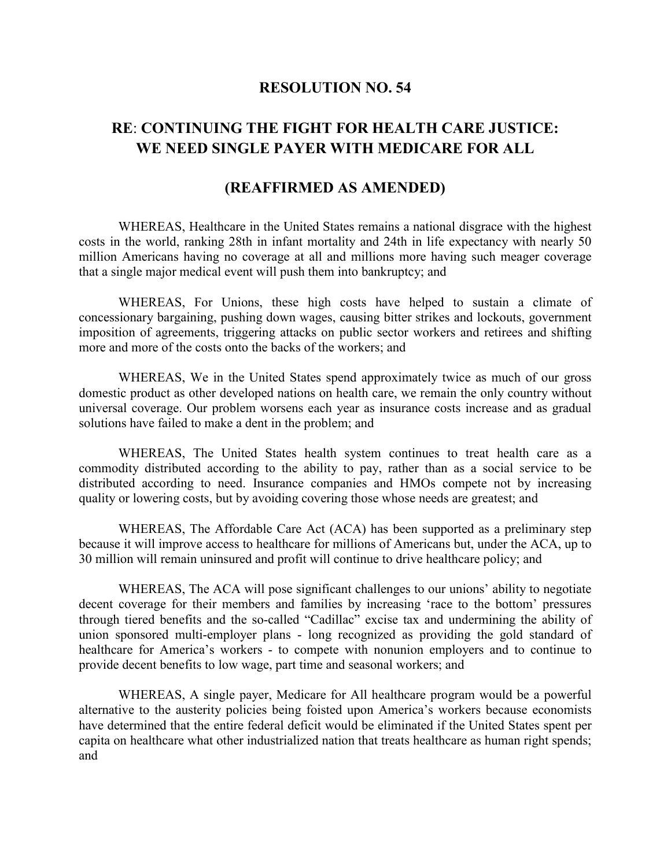## **RESOLUTION NO. 54**

## **RE**: **CONTINUING THE FIGHT FOR HEALTH CARE JUSTICE: WE NEED SINGLE PAYER WITH MEDICARE FOR ALL**

## **(REAFFIRMED AS AMENDED)**

WHEREAS, Healthcare in the United States remains a national disgrace with the highest costs in the world, ranking 28th in infant mortality and 24th in life expectancy with nearly 50 million Americans having no coverage at all and millions more having such meager coverage that a single major medical event will push them into bankruptcy; and

WHEREAS, For Unions, these high costs have helped to sustain a climate of concessionary bargaining, pushing down wages, causing bitter strikes and lockouts, government imposition of agreements, triggering attacks on public sector workers and retirees and shifting more and more of the costs onto the backs of the workers; and

WHEREAS, We in the United States spend approximately twice as much of our gross domestic product as other developed nations on health care, we remain the only country without universal coverage. Our problem worsens each year as insurance costs increase and as gradual solutions have failed to make a dent in the problem; and

WHEREAS, The United States health system continues to treat health care as a commodity distributed according to the ability to pay, rather than as a social service to be distributed according to need. Insurance companies and HMOs compete not by increasing quality or lowering costs, but by avoiding covering those whose needs are greatest; and

WHEREAS, The Affordable Care Act (ACA) has been supported as a preliminary step because it will improve access to healthcare for millions of Americans but, under the ACA, up to 30 million will remain uninsured and profit will continue to drive healthcare policy; and

WHEREAS, The ACA will pose significant challenges to our unions' ability to negotiate decent coverage for their members and families by increasing 'race to the bottom' pressures through tiered benefits and the so-called "Cadillac" excise tax and undermining the ability of union sponsored multi-employer plans - long recognized as providing the gold standard of healthcare for America's workers - to compete with nonunion employers and to continue to provide decent benefits to low wage, part time and seasonal workers; and

WHEREAS, A single payer, Medicare for All healthcare program would be a powerful alternative to the austerity policies being foisted upon America's workers because economists have determined that the entire federal deficit would be eliminated if the United States spent per capita on healthcare what other industrialized nation that treats healthcare as human right spends; and